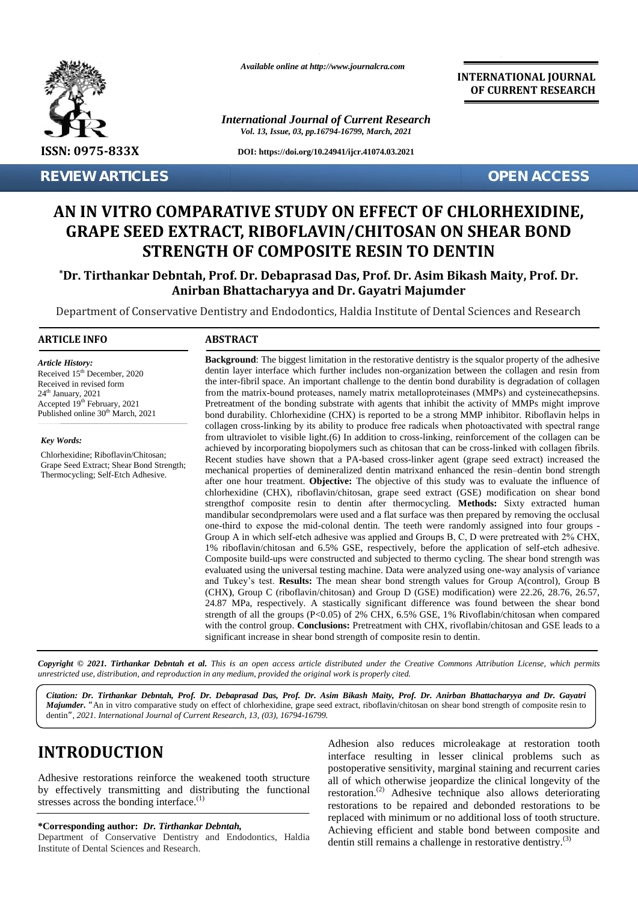

**REVIEW ARTICLES OPEN ACCESS**

*Available online at http://www.journalcra.com*

*International Journal of Current Research Vol. 13, Issue, 03, pp.16794-16799, March, 2021*

**DOI: https://doi.org/10.24941/ijcr.41074.03.2021**

**INTERNATIONAL JOURNAL OF CURRENT RESEARCH**

# **AN IN VITRO COMPARATIVE STUDY ON EFFECT OF CHLORHEXIDINE, GRAPE SEED EXTRACT, RIBOFLAVIN/CHITOSAN ON SHEAR BOND STRENGTH OF COMPOSITE RESIN TO DENTIN VITRO COMPARATIVE GRAPE EXTRACT, RIBOFLAVIN/CHITOSAN RESIN TO EVIEW ARTICLES**<br> **AN IN VITRO COMPARA'**<br> **GRAPE SEED EXTRAC'**<br> **STRENGTH (**<br>
\*Dr. Tirthankar Debntah, Prof.<br>
Anirban BI<br>
Department of Conservative Dentist<br> **ARTICLE INFO**<br>
Article History:<br>
Article History:<br>
Received in

**\*Dr. Tirthankar Debntah, Prof. Dr. Debaprasad Das, Prof. Dr. Asim Bikash Maity, Prof. Dr. Anirban Bhattacharyya and Dr. Gayatri Majumder Debaprasad Das, Anirban Majumder**

Department of Conservative Dentistry and Endodontics, Haldia Institute of Dental Sciences and Research

#### **ARTICLE INFO ABSTRACT ARTICLE ABSTRACT**

*Article History: Article History:*  $\text{Received } 15^{\text{th}}$  December, 2020 Received 15 December, 2020<br>Received in revised form  $24<sup>th</sup>$  January,  $2021$ Accepted  $19<sup>th</sup>$  February, 2021 P Published online  $30<sup>th</sup>$  March, 2021

*Key Words:*

Chlorhexidine; Riboflavin/Chitosan; Grape Seed Extract; Shear Bond Strength; Thermocycling; Self-Etch Adhesive.

dentin layer interface which further includes non-organization between the collagen and resin from the inter-fibril space. An important challenge to the dentin bond durability is degradation of collagen from the matrix-bound proteases, namely matrix metalloproteinases (MMPs) and cysteinecathepsins. Pretreatment of the bonding substrate with agents that inhibit the activity of MMPs might improve bond durability. Chlorhexidine (CHX) is reported to be a strong MMP inhibitor. Riboflavin helps in collagen cross‑linking by its ability to produce free radicals when photoactivated with spectral range from ultraviolet to visible light.(6) In addition to cross-linking, reinforcement of the collagen can be achieved by incorporating biopolymers such as chitosan that can be cross-linked with collagen fibrils. Recent studies achieved by incorporating biopolymers such as chitosan that can be cross-linked with collagen fibrils. Recent studies have shown that a PA-based cross-linker agent (grape seed extract) increased the mechanical properties of demineralized dentin matrixand enhanced the resin–dentin bond strength after one hour treatment. **Objective:** The objective of this study was to evaluate the influence of chlorhexidine (CHX), riboflavin/chitosan, grape seed extract (GSE) modification on shear bond strengthof composite resin to dentin after thermocycling. **Methods:** Sixty extracted human mandibular secondpremolars were used and a flat surface was then prepared by removing the occlusal one-third to expose the mid-colonal dentin. The teeth were randomly assigned into four groups -Group A in which self-etch adhesive was applied and Groups B, C, D were pretreated with 2% CHX, 1% riboflavin/chitosan and 6.5% GSE, respectively, before the application of self‑etch adhesive. Composite build‑ups were constructed and subjected to thermo cycling. The shear bond strength was evaluated using the universal testing machine. Data were analyzed using one‑way analysis of variance and Tukey's test. Results: The mean shear bond strength values for Group A(control), Group B (CHX), Group C (riboflavin/chitosan) and Group D (GSE) modification) were 22.26, 28.76, 26.57, 24.87 MPa, respectively. A stastically significant difference was found between the shear bond strength of all the groups (P<0.05) of 2% CHX, 6.5% GSE, 1% Rivoflabin/chitosan when compared with the control group. **Conclusions:** Pretreatment with CHX, rivoflabin/chitosan and GSE leads to a significant increase in shear bond strength of composite resin to dentin. **Background**: The biggest limitation in the restorative dentistry is the squalor property of the adhesive dentin layer interface which further includes non-organization between the collagen and resin from the inter-fibril Pretreatment of the bonding substrate with agents that inhibit the activity of MMPs might bond durability. Chlorhexidine (CHX) is reported to be a strong MMP inhibitor. Riboflavin collagen cross-linking by its ability to p after one hour treatment. **Objective:** The objective of this study was to evaluate the influence of<br>chlorhexidine (CHX), riboflavin/chitosan, grape seed extract (GSE) modification on shear bond<br>strengthof composite resin t d between the view incomposites, which for the includes monotogeneously where the collapse of the controlling to the dentification between the collapse of the controlling to the controlling to the controlling to the contr **Example 1200** dentin layer interface which full inter-fibril space. An importional tell inter-fibril space and processes in the model of the inter-fibril space and the scheme of the bonding subsequent constanting by the o

**Background**: The biggest limitation in the restorative dentistry is the squalor property of the adhesive

**Copyright © 2021. Tirthankar Debntah et al.** This is an open access article distributed under the Creative Commons Attribution License, which permits<br>unrestricted use, distribution, and reproduction in any medium, provide *unrestricted use,distribution, and reproduction in any medium, provided the original work is properly cited.*

*Citation: Dr. Tirthankar Debntah, Prof. Dr. Debaprasad Das, Prof. Dr. Asim Bikash Maity, Prof. Dr. Anirban Bhattacharyya and Dr. Gayatri Dr. and* Majumder. "An in vitro comparative study on effect of chlorhexidine, grape seed extract, riboflavin/chitosan on shear bond strength of composite resin to dentin*", 2021. International Journal of Current Research, 13, (03), 16794-16799.*

# **INTRODUCTION INTRODUCTION**

Adhesive restorations reinforce the weakened tooth structure by effectively transmitting and distributing the functional r stresses across the bonding interface. $<sup>(1)</sup>$ </sup> Adhesive restorations reinforce the weakened<br>by effectively transmitting and distributing<br>stresses across the bonding interface.<sup>(1)</sup>

**\*Corresponding author:** *Dr. Tirthankar Debntah,* **\*Corresponding** *Tirthankar Debntah,*

Department of Conservative Dentistry and Endodontics, Haldia Institute of Dental Sciences and Research.

Adhesion also reduces microleakage at restoration tooth interface resulting in lesser clinical problems such as postoperative sensitivity, marginal staining and recurrent caries all of which otherwise jeopardize the clinical longevity of the restoration.(2) Adhesive technique also allows deteriorating restorations to be repaired and debonded restorations to be replaced with minimum or no additional loss of tooth structure. Achieving efficient and stable bond between composite and dentin still remains a challenge in restorative dentistry.<sup>(3)</sup> **INTRODUCTION**<br>
Adhesion also reduces microleakage at restoration tooth<br>
Adhesive restorations reinforce the weakened tooth structure<br>
by effectively transmitting and distributing the functional<br>
by effectively transmittin interface resulting in lesser clinical problems such<br>postoperative sensitivity, marginal staining and recurrent ca<br>all of which otherwise jeopardize the clinical longevity of Adhesion also reduces microles<br>
I<br>
Statement of the seakened tooth structure<br>
all of which otherwise jeopardize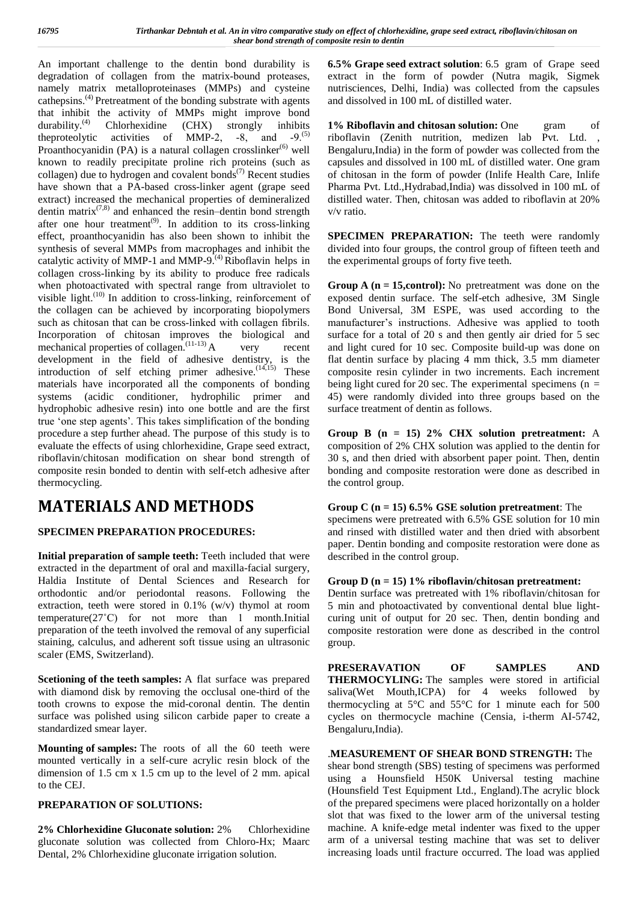An important challenge to the dentin bond durability is degradation of collagen from the matrix-bound proteases, namely matrix metalloproteinases (MMPs) and cysteine cathepsins.(4) Pretreatment of the bonding substrate with agents that inhibit the activity of MMPs might improve bond durability.<sup>(4)</sup> Chlorhexidine (CHX) strongly inhibits durability.<sup>(4)</sup> Chlorhexidine (CHX) strongly inhibits 1% the proteclytic activities of MMP-2,  $-8$ , and  $-9$ .<sup>(5)</sup> Proanthocyanidin (PA) is a natural collagen crosslinker<sup>(6)</sup> well known to readily precipitate proline rich proteins (such as collagen) due to hydrogen and covalent bonds<sup> $(7)$ </sup> Recent studies have shown that a PA-based cross-linker agent (grape seed extract) increased the mechanical properties of demineralized dentin matrix $(7,8)$  and enhanced the resin–dentin bond strength after one hour treatment<sup>(9)</sup>. In addition to its cross-linking effect, proanthocyanidin has also been shown to inhibit the synthesis of several MMPs from macrophages and inhibit the catalytic activity of MMP-1 and MMP-9.<sup> $(4)$ </sup> Riboflavin helps in collagen cross-linking by its ability to produce free radicals when photoactivated with spectral range from ultraviolet to visible light. $(10)$  In addition to cross-linking, reinforcement of the collagen can be achieved by incorporating biopolymers such as chitosan that can be cross-linked with collagen fibrils. Incorporation of chitosan improves the biological and mechanical properties of collagen.<sup> $(11-13)$ </sup> A very recent development in the field of adhesive dentistry, is the introduction of self etching primer adhesive. $(14,15)$  These com materials have incorporated all the components of bonding systems (acidic conditioner, hydrophilic primer and hydrophobic adhesive resin) into one bottle and are the first true 'one step agents'. This takes simplification of the bonding procedure a step further ahead. The purpose of this study is to evaluate the effects of using chlorhexidine, Grape seed extract, riboflavin/chitosan modification on shear bond strength of composite resin bonded to dentin with self-etch adhesive after thermocycling.

# **MATERIALS AND METHODS**

### **SPECIMEN PREPARATION PROCEDURES:**

**Initial preparation of sample teeth:** Teeth included that were extracted in the department of oral and maxilla-facial surgery, Haldia Institute of Dental Sciences and Research for orthodontic and/or periodontal reasons. Following the extraction, teeth were stored in 0.1% (w/v) thymol at room temperature(27˚C) for not more than 1 month.Initial preparation of the teeth involved the removal of any superficial staining, calculus, and adherent soft tissue using an ultrasonic scaler (EMS, Switzerland).

**Scetioning of the teeth samples:** A flat surface was prepared with diamond disk by removing the occlusal one-third of the tooth crowns to expose the mid-coronal dentin. The dentin surface was polished using silicon carbide paper to create a standardized smear layer.

**Mounting of samples:** The roots of all the 60 teeth were mounted vertically in a self-cure acrylic resin block of the dimension of 1.5 cm x 1.5 cm up to the level of 2 mm. apical to the CEJ.

### **PREPARATION OF SOLUTIONS:**

**2% Chlorhexidine Gluconate solution:** 2% Chlorhexidine gluconate solution was collected from Chloro-Hx; Maarc Dental, 2% Chlorhexidine gluconate irrigation solution.

**6.5% Grape seed extract solution**: 6.5 gram of Grape seed extract in the form of powder (Nutra magik, Sigmek nutrisciences, Delhi, India) was collected from the capsules and dissolved in 100 mL of distilled water.

**1% Riboflavin and chitosan solution:** One gram of riboflavin (Zenith nutrition, medizen lab Pvt. Ltd. , Bengaluru,India) in the form of powder was collected from the capsules and dissolved in 100 mL of distilled water. One gram of chitosan in the form of powder (Inlife Health Care, Inlife Pharma Pvt. Ltd.,Hydrabad,India) was dissolved in 100 mL of distilled water. Then, chitosan was added to riboflavin at 20% v/v ratio.

**SPECIMEN PREPARATION:** The teeth were randomly divided into four groups, the control group of fifteen teeth and the experimental groups of forty five teeth.

**Group A (n = 15, control):** No pretreatment was done on the exposed dentin surface. The self-etch adhesive, 3M Single Bond Universal, 3M ESPE, was used according to the manufacturer's instructions. Adhesive was applied to tooth surface for a total of 20 s and then gently air dried for 5 sec and light cured for 10 sec. Composite build-up was done on flat dentin surface by placing 4 mm thick, 3.5 mm diameter composite resin cylinder in two increments. Each increment being light cured for 20 sec. The experimental specimens ( $n =$ 45) were randomly divided into three groups based on the surface treatment of dentin as follows.

**Group B (n = 15) 2% CHX solution pretreatment:** A composition of 2% CHX solution was applied to the dentin for 30 s, and then dried with absorbent paper point. Then, dentin bonding and composite restoration were done as described in the control group.

### **Group C (n = 15) 6.5% GSE solution pretreatment**: The

specimens were pretreated with 6.5% GSE solution for 10 min and rinsed with distilled water and then dried with absorbent paper. Dentin bonding and composite restoration were done as described in the control group.

#### **Group D (n = 15) 1% riboflavin/chitosan pretreatment:**

Dentin surface was pretreated with 1% riboflavin/chitosan for 5 min and photoactivated by conventional dental blue light curing unit of output for 20 sec. Then, dentin bonding and composite restoration were done as described in the control group.

**PRESERAVATION OF SAMPLES AND THERMOCYLING:** The samples were stored in artificial saliva(Wet Mouth,ICPA) for 4 weeks followed by thermocycling at 5°C and 55°C for 1 minute each for 500 cycles on thermocycle machine (Censia, i-therm AI-5742, Bengaluru,India).

#### .**MEASUREMENT OF SHEAR BOND STRENGTH:** The

shear bond strength (SBS) testing of specimens was performed using a Hounsfield H50K Universal testing machine (Hounsfield Test Equipment Ltd., England).The acrylic block of the prepared specimens were placed horizontally on a holder slot that was fixed to the lower arm of the universal testing machine. A knife-edge metal indenter was fixed to the upper arm of a universal testing machine that was set to deliver increasing loads until fracture occurred. The load was applied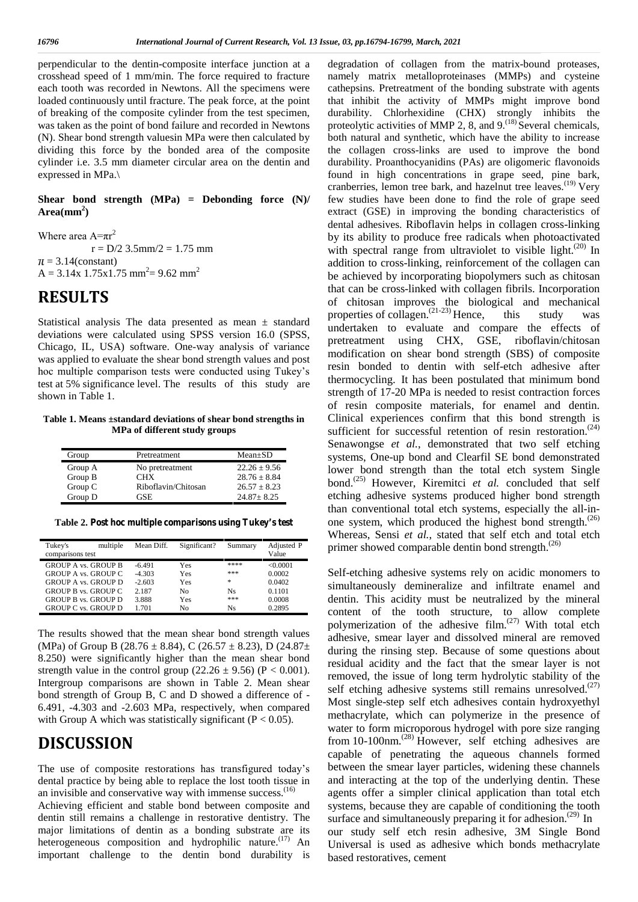perpendicular to the dentin-composite interface junction at a crosshead speed of 1 mm/min. The force required to fracture each tooth was recorded in Newtons. All the specimens were loaded continuously until fracture. The peak force, at the point of breaking of the composite cylinder from the test specimen, was taken as the point of bond failure and recorded in Newtons (N). Shear bond strength valuesin MPa were then calculated by dividing this force by the bonded area of the composite cylinder i.e. 3.5 mm diameter circular area on the dentin and expressed in MPa.\

#### **Shear bond strength (MPa) = Debonding force (N)/**  $Area(mm<sup>2</sup>)$

Where area  $A=\pi r^2$  $r = D/2$  3.5mm/2 = 1.75 mm  $\pi = 3.14$ (constant)  $A = 3.14x$  1.75x1.75 mm<sup>2</sup> = 9.62 mm<sup>2</sup>

# **RESULTS**

Statistical analysis The data presented as mean ± standard deviations were calculated using SPSS version 16.0 (SPSS, Chicago, IL, USA) software. One‑way analysis of variance was applied to evaluate the shear bond strength values and post hoc multiple comparison tests were conducted using Tukey's test at 5% significance level. The results of this study are shown in Table 1.

**Table 1. Means ±standard deviations of shear bond strengths in MPa of different study groups**

| Group   | Pretreatment        | $Mean \pm SD$    |  |
|---------|---------------------|------------------|--|
| Group A | No pretreatment     | $22.26 \pm 9.56$ |  |
| Group B | <b>CHX</b>          | $28.76 + 8.84$   |  |
| Group C | Riboflavin/Chitosan | $26.57 + 8.23$   |  |
| Group D | GSE                 | $24.87 + 8.25$   |  |

**Table 2. Post hoc multiple comparisons using Tukey's test**

| Tukey's<br>comparisons test | multiple | Mean Diff. | Significant? | Summary   | Adjusted P<br>Value |
|-----------------------------|----------|------------|--------------|-----------|---------------------|
| <b>GROUP A vs. GROUP B</b>  |          | $-6.491$   | Yes          | ****      | < 0.0001            |
| <b>GROUP A vs. GROUP C</b>  |          | $-4.303$   | Yes          | ***       | 0.0002              |
| <b>GROUP A vs. GROUP D</b>  |          | $-2.603$   | Yes          | *         | 0.0402              |
| <b>GROUP B vs. GROUP C</b>  |          | 2.187      | No           | <b>Ns</b> | 0.1101              |
| <b>GROUP B vs. GROUP D</b>  |          | 3.888      | Yes          | ***       | 0.0008              |
| <b>GROUP C vs. GROUP D</b>  |          | 1.701      | No           | Ns        | 0.2895              |

The results showed that the mean shear bond strength values (MPa) of Group B (28.76  $\pm$  8.84), C (26.57  $\pm$  8.23), D (24.87 $\pm$ 8.250) were significantly higher than the mean shear bond strength value in the control group (22.26  $\pm$  9.56) (P < 0.001). Intergroup comparisons are shown in Table 2. Mean shear bond strength of Group B, C and D showed a difference of - 6.491, -4.303 and -2.603 MPa, respectively, when compared with Group A which was statistically significant ( $P < 0.05$ ).

## **DISCUSSION**

The use of composite restorations has transfigured today's dental practice by being able to replace the lost tooth tissue in an invisible and conservative way with immense success. $(16)$ 

Achieving efficient and stable bond between composite and dentin still remains a challenge in restorative dentistry. The major limitations of dentin as a bonding substrate are its heterogeneous composition and hydrophilic nature.<sup> $(17)$ </sup> An important challenge to the dentin bond durability is

degradation of collagen from the matrix-bound proteases, namely matrix metalloproteinases (MMPs) and cysteine cathepsins. Pretreatment of the bonding substrate with agents that inhibit the activity of MMPs might improve bond durability. Chlorhexidine (CHX) strongly inhibits the proteolytic activities of MMP 2, 8, and  $9^{(18)}$  Several chemicals, both natural and synthetic, which have the ability to increase the collagen cross-links are used to improve the bond durability. Proanthocyanidins (PAs) are oligomeric flavonoids found in high concentrations in grape seed, pine bark, cranberries, lemon tree bark, and hazelnut tree leaves.<sup>(19)</sup> Very few studies have been done to find the role of grape seed extract (GSE) in improving the bonding characteristics of dental adhesives. Riboflavin helps in collagen cross-linking by its ability to produce free radicals when photoactivated with spectral range from ultraviolet to visible light.<sup> $(20)$ </sup> In addition to cross-linking, reinforcement of the collagen can be achieved by incorporating biopolymers such as chitosan that can be cross-linked with collagen fibrils. Incorporation of chitosan improves the biological and mechanical properties of collagen.<sup>(21-23)</sup> Hence, this study was undertaken to evaluate and compare the effects of pretreatment using CHX, GSE, riboflavin/chitosan modification on shear bond strength (SBS) of composite resin bonded to dentin with self-etch adhesive after thermocycling. It has been postulated that minimum bond strength of 17-20 MPa is needed to resist contraction forces of resin composite materials, for enamel and dentin. Clinical experiences confirm that this bond strength is sufficient for successful retention of resin restoration.<sup> $(24)$ </sup> Senawongse *et al.*, demonstrated that two self etching systems, One-up bond and Clearfil SE bond demonstrated lower bond strength than the total etch system Single bond.<sup>(25)</sup> However, Kiremitci *et al.* concluded that self etching adhesive systems produced higher bond strength than conventional total etch systems, especially the all-in one system, which produced the highest bond strength. $(26)$ Whereas, Sensi *et al.*, stated that self etch and total etch primer showed comparable dentin bond strength. $(26)$ 

Self-etching adhesive systems rely on acidic monomers to simultaneously demineralize and infiltrate enamel and dentin. This acidity must be neutralized by the mineral content of the tooth structure, to allow complete polymerization of the adhesive film. $(27)$  With total etch adhesive, smear layer and dissolved mineral are removed during the rinsing step. Because of some questions about residual acidity and the fact that the smear layer is not removed, the issue of long term hydrolytic stability of the self etching adhesive systems still remains unresolved. $(27)$ Most single-step self etch adhesives contain hydroxyethyl methacrylate, which can polymerize in the presence of water to form microporous hydrogel with pore size ranging from 10-100nm.<sup>(28)</sup> However, self etching adhesives are capable of penetrating the aqueous channels formed between the smear layer particles, widening these channels and interacting at the top of the underlying dentin. These agents offer a simpler clinical application than total etch systems, because they are capable of conditioning the tooth surface and simultaneously preparing it for adhesion.<sup> $(29)$ </sup> In our study self etch resin adhesive, 3M Single Bond Universal is used as adhesive which bonds methacrylate based restoratives, cement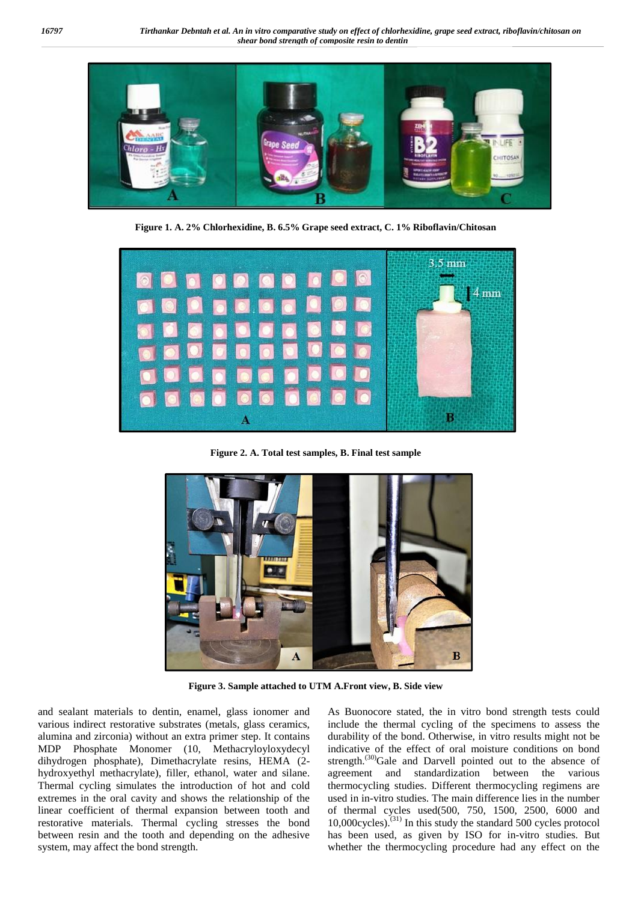

**Figure 1. A. 2% Chlorhexidine, B. 6.5% Grape seed extract, C. 1% Riboflavin/Chitosan**



**Figure 2. A. Total test samples, B. Final test sample**



**Figure 3. Sample attached to UTM A.Front view, B. Side view**

and sealant materials to dentin, enamel, glass ionomer and various indirect restorative substrates (metals, glass ceramics, alumina and zirconia) without an extra primer step. It contains MDP Phosphate Monomer (10, Methacryloyloxydecyl dihydrogen phosphate), Dimethacrylate resins, HEMA (2 hydroxyethyl methacrylate), filler, ethanol, water and silane. Thermal cycling simulates the introduction of hot and cold extremes in the oral cavity and shows the relationship of the linear coefficient of thermal expansion between tooth and restorative materials. Thermal cycling stresses the bond between resin and the tooth and depending on the adhesive system, may affect the bond strength.

As Buonocore stated, the in vitro bond strength tests could include the thermal cycling of the specimens to assess the durability of the bond. Otherwise, in vitro results might not be indicative of the effect of oral moisture conditions on bond strength.<sup>(30)</sup>Gale and Darvell pointed out to the absence of agreement and standardization between the various thermocycling studies. Different thermocycling regimens are used in in-vitro studies. The main difference lies in the number of thermal cycles used(500, 750, 1500, 2500, 6000 and 10,000cycles).(31) In this study the standard 500 cycles protocol has been used, as given by ISO for in-vitro studies. But whether the thermocycling procedure had any effect on the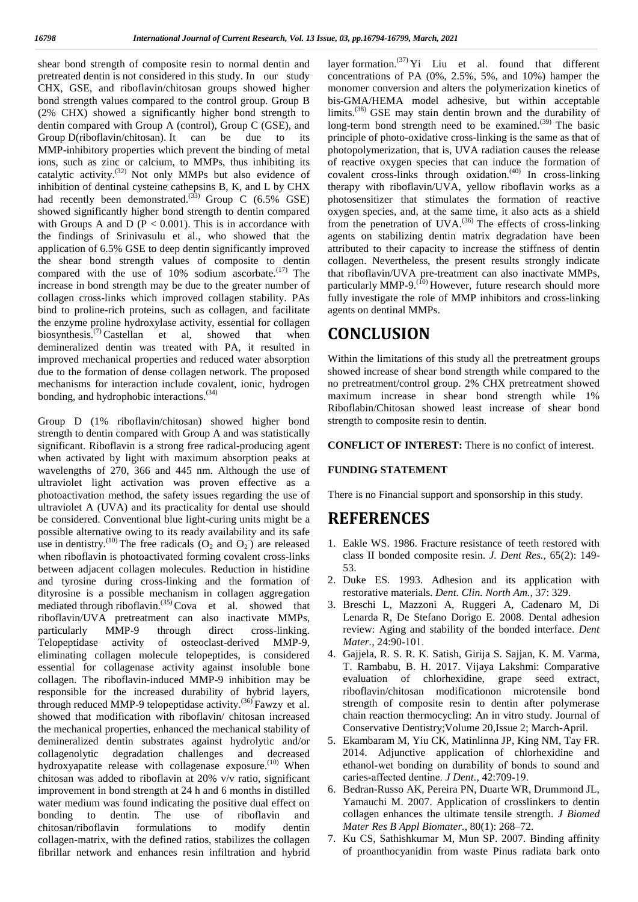shear bond strength of composite resin to normal dentin and pretreated dentin is not considered in this study. In our study CHX, GSE, and riboflavin/chitosan groups showed higher bond strength values compared to the control group. Group B (2% CHX) showed a significantly higher bond strength to dentin compared with Group A (control), Group C (GSE), and Group D(riboflavin/chitosan). It can be due to its MMP-inhibitory properties which prevent the binding of metal ions, such as zinc or calcium, to MMPs, thus inhibiting its catalytic activity. $(32)$  Not only MMPs but also evidence of inhibition of dentinal cysteine cathepsins B, K, and L by CHX therapy had recently been demonstrated.<sup>(33)</sup> Group C (6.5% GSE) pl showed significantly higher bond strength to dentin compared with Groups A and D ( $P < 0.001$ ). This is in accordance with the findings of Srinivasulu et al., who showed that the application of 6.5% GSE to deep dentin significantly improved the shear bond strength values of composite to dentin compared with the use of 10% sodium ascorbate.<sup>(17)</sup> The increase in bond strength may be due to the greater number of collagen cross-links which improved collagen stability. PAs bind to proline-rich proteins, such as collagen, and facilitate the enzyme proline hydroxylase activity, essential for collagen biosynthesis.<sup> $(7)$ </sup> Castellan et al, showed that when demineralized dentin was treated with PA, it resulted in improved mechanical properties and reduced water absorption due to the formation of dense collagen network. The proposed mechanisms for interaction include covalent, ionic, hydrogen bonding, and hydrophobic interactions.<sup>(34)</sup>

Group D (1% riboflavin/chitosan) showed higher bond strength to dentin compared with Group A and was statistically significant. Riboflavin is a strong free radical-producing agent when activated by light with maximum absorption peaks at wavelengths of 270, 366 and 445 nm. Although the use of ultraviolet light activation was proven effective as a photoactivation method, the safety issues regarding the use of ultraviolet A (UVA) and its practicality for dental use should be considered. Conventional blue light-curing units might be a possible alternative owing to its ready availability and its safe use in dentistry.<sup>(10)</sup> The free radicals  $(O_2 \text{ and } O_2)$  are released 1. E when riboflavin is photoactivated forming covalent cross-links between adjacent collagen molecules. Reduction in histidine and tyrosine during cross-linking and the formation of dityrosine is a possible mechanism in collagen aggregation mediated through riboflavin.(35) Cova et al. showed that riboflavin/UVA pretreatment can also inactivate MMPs, particularly MMP-9 through direct cross-linking. Telopeptidase activity of osteoclast-derived MMP-9, eliminating collagen molecule telopeptides, is considered essential for collagenase activity against insoluble bone collagen. The riboflavin-induced MMP-9 inhibition may be responsible for the increased durability of hybrid layers, through reduced MMP-9 telopeptidase activity.<sup>(36)</sup> Fawzy et al. showed that modification with riboflavin/ chitosan increased the mechanical properties, enhanced the mechanical stability of demineralized dentin substrates against hydrolytic and/or collagenolytic degradation challenges and decreased hydroxyapatite release with collagenase exposure.<sup>(10)</sup> When chitosan was added to riboflavin at 20% v/v ratio, significant improvement in bond strength at 24 h and 6 months in distilled water medium was found indicating the positive dual effect on bonding to dentin. The use of riboflavin and chitosan/riboflavin formulations to modify dentin collagen-matrix, with the defined ratios, stabilizes the collagen fibrillar network and enhances resin infiltration and hybrid

layer formation.<sup>(37)</sup> Yi Liu et al. found that different concentrations of PA (0%, 2.5%, 5%, and 10%) hamper the monomer conversion and alters the polymerization kinetics of bis-GMA/HEMA model adhesive, but within acceptable limits.<sup>(38)</sup> GSE may stain dentin brown and the durability of long-term bond strength need to be examined.<sup>(39)</sup> The basic principle of photo-oxidative cross-linking is the same as that of photopolymerization, that is, UVA radiation causes the release of reactive oxygen species that can induce the formation of covalent cross-links through oxidation.<sup>(40)</sup> In cross-linking therapy with riboflavin/UVA, yellow riboflavin works as a photosensitizer that stimulates the formation of reactive oxygen species, and, at the same time, it also acts as a shield from the penetration of  $UVA$ .<sup>(36)</sup> The effects of cross-linking agents on stabilizing dentin matrix degradation have been attributed to their capacity to increase the stiffness of dentin collagen. Nevertheless, the present results strongly indicate that riboflavin/UVA pre-treatment can also inactivate MMPs, particularly MMP-9.<sup>(10)</sup> However, future research should more fully investigate the role of MMP inhibitors and cross-linking agents on dentinal MMPs.

# **CONCLUSION**

Within the limitations of this study all the pretreatment groups showed increase of shear bond strength while compared to the no pretreatment/control group. 2% CHX pretreatment showed maximum increase in shear bond strength while 1% Riboflabin/Chitosan showed least increase of shear bond strength to composite resin to dentin.

**CONFLICT OF INTEREST:** There is no confict of interest.

#### **FUNDING STATEMENT**

There is no Financial support and sponsorship in this study.

# **REFERENCES**

- 1. Eakle WS. 1986. Fracture resistance of teeth restored with class II bonded composite resin. *J. Dent Res.,* 65(2): 149- 53.
- 2. Duke ES. 1993. Adhesion and its application with restorative materials. *Dent. Clin. North Am.,* 37: 329.
- 3. Breschi L, Mazzoni A, Ruggeri A, Cadenaro M, Di Lenarda R, De Stefano Dorigo E. 2008. Dental adhesion review: Aging and stability of the bonded interface. *Dent Mater.,* 24:90‑101.
- 4. Gajjela, R. S. R. K. Satish, Girija S. Sajjan, K. M. Varma, T. Rambabu, B. H. 2017. Vijaya Lakshmi: Comparative evaluation of chlorhexidine, grape seed extract, riboflavin/chitosan modificationon microtensile bond strength of composite resin to dentin after polymerase chain reaction thermocycling: An in vitro study. Journal of Conservative Dentistry;Volume 20,Issue 2; March-April.
- 5. Ekambaram M, Yiu CK, Matinlinna JP, King NM, Tay FR. 2014. Adjunctive application of chlorhexidine and ethanol‑wet bonding on durability of bonds to sound and caries-affected dentine. *J Dent.*, 42:709-19.
- 6. Bedran-Russo AK, Pereira PN, Duarte WR, Drummond JL, Yamauchi M. 2007. Application of crosslinkers to dentin collagen enhances the ultimate tensile strength. *J Biomed Mater Res B Appl Biomater.,* 80(1): 268–72.
- 7. Ku CS, Sathishkumar M, Mun SP. 2007. Binding affinity of proanthocyanidin from waste Pinus radiata bark onto